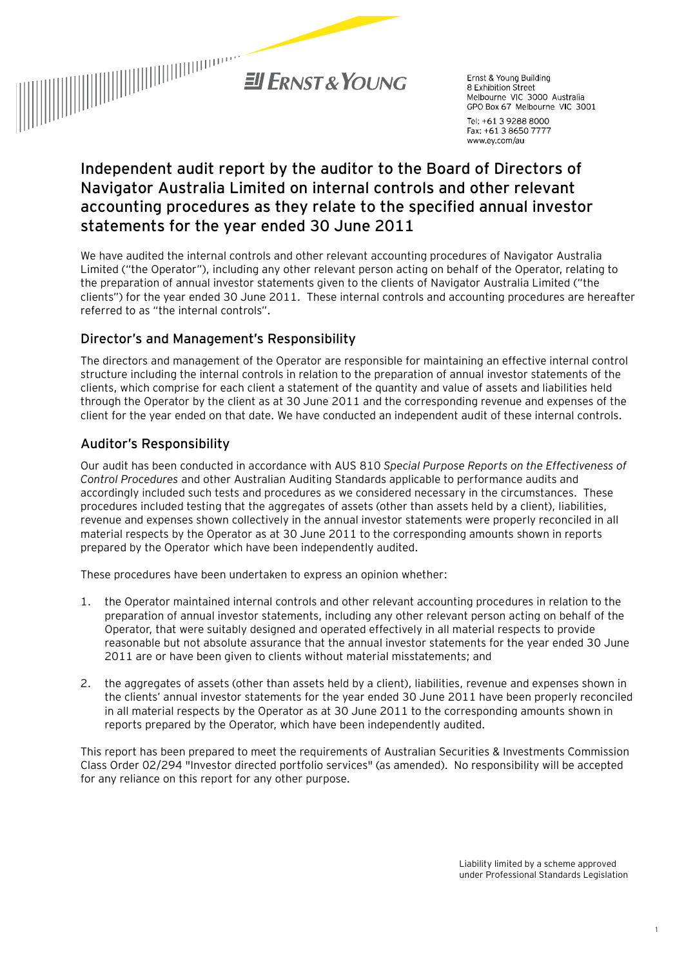

Ernst & Young Building 8 Exhibition Street Melbourne VIC 3000 Australia GPO Box 67 Melbourne VIC 3001

Tel: +61 3 9288 8000 Fax: +61 3 8650 7777 www.ey.com/au

# **Independent audit report by the auditor to the Board of Directors of Navigator Australia Limited on internal controls and other relevant accounting procedures as they relate to the specified annual investor statements for the year ended 30 June 2011**

We have audited the internal controls and other relevant accounting procedures of Navigator Australia Limited ("the Operator"), including any other relevant person acting on behalf of the Operator, relating to the preparation of annual investor statements given to the clients of Navigator Australia Limited ("the clients") for the year ended 30 June 2011. These internal controls and accounting procedures are hereafter referred to as "the internal controls".

### Director's and Management's Responsibility

The directors and management of the Operator are responsible for maintaining an effective internal control structure including the internal controls in relation to the preparation of annual investor statements of the clients, which comprise for each client a statement of the quantity and value of assets and liabilities held through the Operator by the client as at 30 June 2011 and the corresponding revenue and expenses of the client for the year ended on that date. We have conducted an independent audit of these internal controls.

## Auditor's Responsibility

Our audit has been conducted in accordance with AUS 810 *Special Purpose Reports on the Effectiveness of Control Procedures* and other Australian Auditing Standards applicable to performance audits and accordingly included such tests and procedures as we considered necessary in the circumstances. These procedures included testing that the aggregates of assets (other than assets held by a client), liabilities, revenue and expenses shown collectively in the annual investor statements were properly reconciled in all material respects by the Operator as at 30 June 2011 to the corresponding amounts shown in reports prepared by the Operator which have been independently audited.

These procedures have been undertaken to express an opinion whether:

- 1. the Operator maintained internal controls and other relevant accounting procedures in relation to the preparation of annual investor statements, including any other relevant person acting on behalf of the Operator, that were suitably designed and operated effectively in all material respects to provide reasonable but not absolute assurance that the annual investor statements for the year ended 30 June 2011 are or have been given to clients without material misstatements; and
- 2. the aggregates of assets (other than assets held by a client), liabilities, revenue and expenses shown in the clients' annual investor statements for the year ended 30 June 2011 have been properly reconciled in all material respects by the Operator as at 30 June 2011 to the corresponding amounts shown in reports prepared by the Operator, which have been independently audited.

This report has been prepared to meet the requirements of Australian Securities & Investments Commission Class Order 02/294 "Investor directed portfolio services" (as amended). No responsibility will be accepted for any reliance on this report for any other purpose.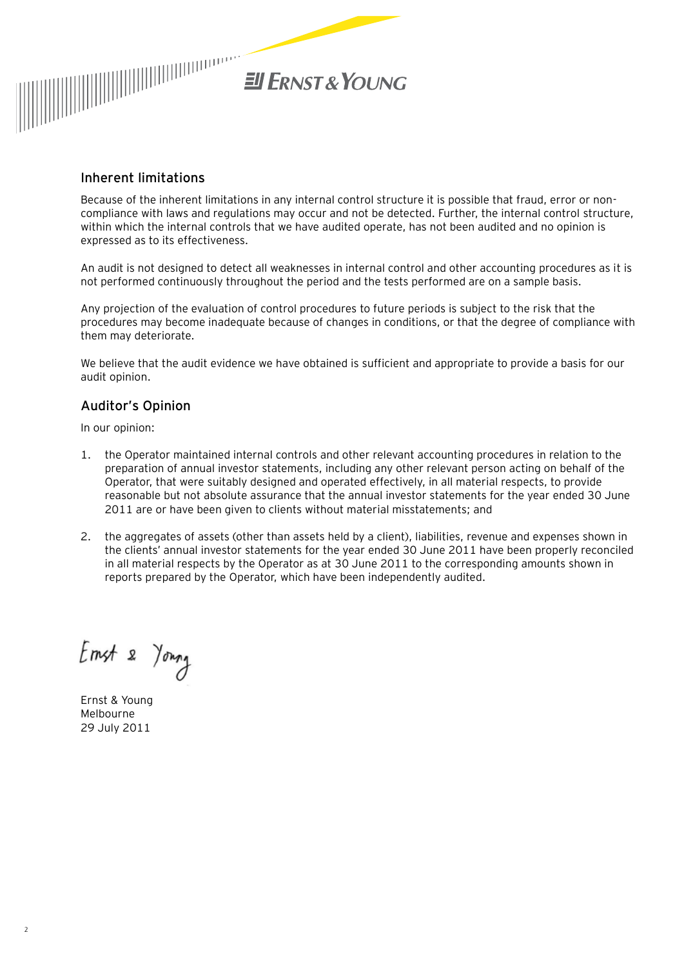

### Inherent limitations

Because of the inherent limitations in any internal control structure it is possible that fraud, error or noncompliance with laws and regulations may occur and not be detected. Further, the internal control structure, within which the internal controls that we have audited operate, has not been audited and no opinion is expressed as to its effectiveness.

An audit is not designed to detect all weaknesses in internal control and other accounting procedures as it is not performed continuously throughout the period and the tests performed are on a sample basis.

Any projection of the evaluation of control procedures to future periods is subject to the risk that the procedures may become inadequate because of changes in conditions, or that the degree of compliance with them may deteriorate.

We believe that the audit evidence we have obtained is sufficient and appropriate to provide a basis for our audit opinion.

#### Auditor's Opinion

In our opinion:

- 1. the Operator maintained internal controls and other relevant accounting procedures in relation to the preparation of annual investor statements, including any other relevant person acting on behalf of the Operator, that were suitably designed and operated effectively, in all material respects, to provide reasonable but not absolute assurance that the annual investor statements for the year ended 30 June 2011 are or have been given to clients without material misstatements; and
- 2. the aggregates of assets (other than assets held by a client), liabilities, revenue and expenses shown in the clients' annual investor statements for the year ended 30 June 2011 have been properly reconciled in all material respects by the Operator as at 30 June 2011 to the corresponding amounts shown in reports prepared by the Operator, which have been independently audited.

Emst 2 Young

Ernst & Young Melbourne 29 July 2011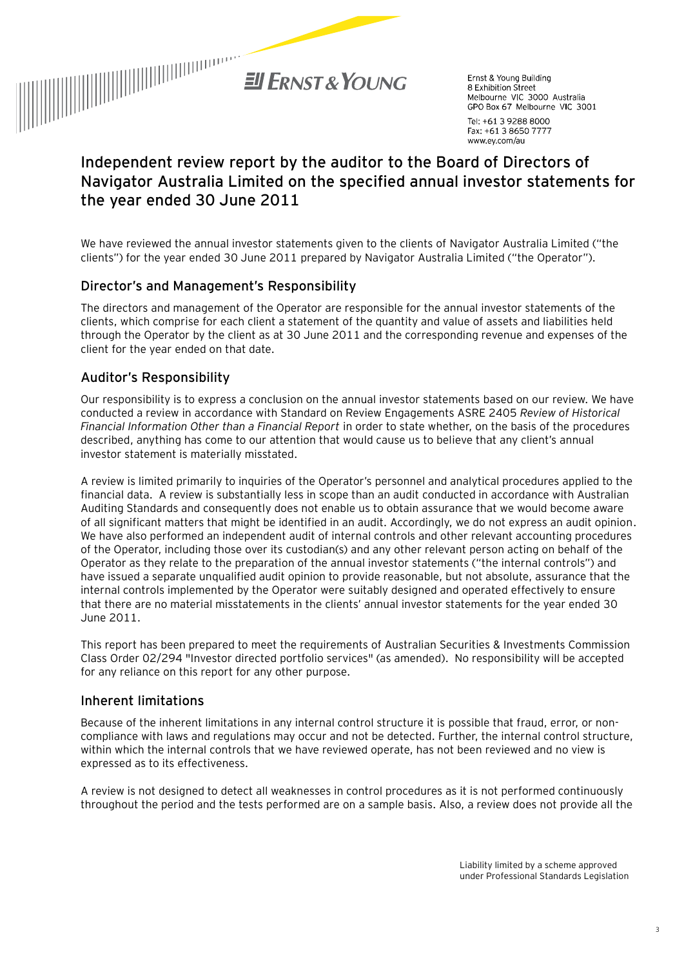

Ernst & Young Building 8 Exhibition Street Melbourne VIC 3000 Australia GPO Box 67 Melbourne VIC 3001 Tel: +61 3 9288 8000

Fax: +61 3 8650 7777 www.ey.com/au

# **Independent review report by the auditor to the Board of Directors of Navigator Australia Limited on the specified annual investor statements for the year ended 30 June 2011**

We have reviewed the annual investor statements given to the clients of Navigator Australia Limited ("the clients") for the year ended 30 June 2011 prepared by Navigator Australia Limited ("the Operator").

### Director's and Management's Responsibility

The directors and management of the Operator are responsible for the annual investor statements of the clients, which comprise for each client a statement of the quantity and value of assets and liabilities held through the Operator by the client as at 30 June 2011 and the corresponding revenue and expenses of the client for the year ended on that date.

### Auditor's Responsibility

Our responsibility is to express a conclusion on the annual investor statements based on our review. We have conducted a review in accordance with Standard on Review Engagements ASRE 2405 *Review of Historical Financial Information Other than a Financial Report* in order to state whether, on the basis of the procedures described, anything has come to our attention that would cause us to believe that any client's annual investor statement is materially misstated.

A review is limited primarily to inquiries of the Operator's personnel and analytical procedures applied to the financial data. A review is substantially less in scope than an audit conducted in accordance with Australian Auditing Standards and consequently does not enable us to obtain assurance that we would become aware of all significant matters that might be identified in an audit. Accordingly, we do not express an audit opinion. We have also performed an independent audit of internal controls and other relevant accounting procedures of the Operator, including those over its custodian(s) and any other relevant person acting on behalf of the Operator as they relate to the preparation of the annual investor statements ("the internal controls") and have issued a separate unqualified audit opinion to provide reasonable, but not absolute, assurance that the internal controls implemented by the Operator were suitably designed and operated effectively to ensure that there are no material misstatements in the clients' annual investor statements for the year ended 30 June 2011.

This report has been prepared to meet the requirements of Australian Securities & Investments Commission Class Order 02/294 "Investor directed portfolio services" (as amended). No responsibility will be accepted for any reliance on this report for any other purpose.

#### Inherent limitations

Because of the inherent limitations in any internal control structure it is possible that fraud, error, or noncompliance with laws and regulations may occur and not be detected. Further, the internal control structure, within which the internal controls that we have reviewed operate, has not been reviewed and no view is expressed as to its effectiveness.

A review is not designed to detect all weaknesses in control procedures as it is not performed continuously throughout the period and the tests performed are on a sample basis. Also, a review does not provide all the

> Liability limited by a scheme approved under Professional Standards Legislation